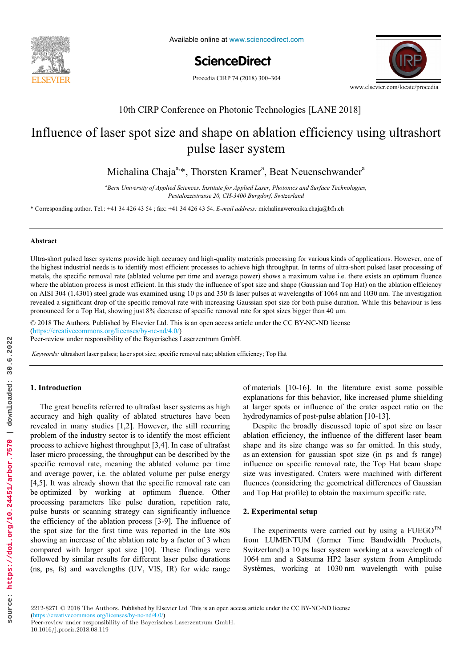

Available online at www.sciencedirect.com

ScienceDirect

Procedia CIRP 74 (2018) 300-304



# 10th CIRP Conference on Photonic Technologies [LANE 2018] 10th CIRP Conference on Photonic Technologies [LANE 2018]

# 10th CIRP Conference on Photonic Technologies [LANE 2018]<br>Influence of laser spot size and shape on ablation efficiency using ultrashort puncture the functional and physical and physical and physical architecture of  $\frac{1}{2}$ pulse laser system pulse laser system

Michalina Chaja<sup>a,\*</sup>, Thorsten Kramer<sup>a</sup>, Beat Neuenschwander<sup>a</sup>

Pestalozzistrasse 20, CH-3400 Burgdorf, Switzerland Bern University of Applied Sciences, Institute for Applied Laser, Photonics and Surface Technologies,

\* Corresponding author. Tel.: +41 34 426 43 54 ; fax: +41 34 426 43 54. E-mail address: michalinaweronika.chaja@bfh.ch

#### **Abstract Abstract**

the highest industrial needs is to identify most efficient processes to achieve high throughput. In terms of ultra-short pulsed laser processing of where the ablation process is most efficient. In this study the influence of spot size and shape (Gaussian and Top Hat) on the ablation efficiency on AISI 304 (1.4301) steel grade was examined using 10 ps and 350 fs laser pulses at wavelengths of 1064 nm and 1030 nm. The investigation revealed a significant drop of the specific removal rate with increasing Gaussian spot size for both pulse duration. While this behaviour is less pronounced for a Top Hat, showing just 8% decrease of specific removal rate for spot sizes bigger than 40 μm. Ultra-short pulsed laser systems provide high accuracy and high-quality materials processing for various kinds of applications. However, one of metals, the specific removal rate (ablated volume per time and average power) shows a maximum value i.e. there exists an optimum fluence

similarity between product families by providing design support to both, production system planners and product designers. An illustrative

© 2018 The Authors. Published by Elsevier Ltd. This is an open access article under the CC BY-NC-ND license [\(https://creativecommons.org/licenses/by-nc-nd/4.0/](https://creativecommons.org/licenses/by-nc-nd/4.0/)) Peer-review under responsibility of the Bayerisches Laserzentrum GmbH.

assembly systems. Based on Datum Flow Chain, the physical structure of the products is analyzed. Functional subassemblies are identified, and

Keywords: ultrashort laser pulses; laser spot size; specific removal rate; ablation efficiency; Top Hat

# © 2017 The Authors. Published by Elsevier B.V. **1. Introduction 1. Introduction**

accuracy and high quality of ablated structures have been **1. Introduction**  laser micro processing, the throughput can be described by the and average power, i.e. the ablated volume per pulse energy  $[4,5]$ . It was already shown that the specific removal rate can  $\left[ \begin{array}{cc} -1, & -1 \\ -1, & -1 \end{array} \right]$  in the same factor in the specific reflectual rate can be optimized by working at optimum fluence. Other processing parameters like pulse duration, repetition rate, processing parameters rice pulse duration, repetition rate, pulse bursts or scanning strategy can significantly influence parse bursts of seaming strategy can significantly influence of the efficiency of the ablation process [3-9]. The influence of the spot size for the first time was reported in the late  $80s$ showing an increase of the ablation rate by a factor of 3 when showing an increase of the dollation rate by a factor of 5 when<br>compared with larger spot size [10]. These findings were followed by similar results for different laser pulse durations product variation of the comparative production in the comparative production of the volume production of the volume production of  $\mu$ . (ns, ps, fs) and wavelengths (UV, VIS, IR) for wide range The great benefits referred to ultrafast laser systems as high The great benefits referred to ultrafast laser systems as high revealed in many studies [1,2]. However, the still recurring problem of the industry sector is to identify the most efficient process to achieve highest throughput [3,4]. In case of ultrafast specific removal rate, meaning the ablated volume per time

explanations for this behavior, like increased plume shielding of materials [10-16]. In the literature exist some possible at larger spots or influence of the crater aspect ratio on the hydrodynamics of post-pulse ablation [10-13]. 

> $\sum_{n=1}^{\infty}$  the product range was so far of the  $(n, n, n, d)$  for  $(n, n, n)$ as an extension for gaussian spot size (in ps and fs range) influence on gracific gaussian spot size (in ps and fs range) influence on specific removal rate, the Top Hat beam shape size was investigated. Craters were inachined with directing fluences (considering the geometrical differences of Gaussian but the product and the able to a be a product to an  $\mathcal{L}$  and the products of  $\mathcal{L}$  and  $\mathcal{L}$ and Top Hat profile) to obtain the maximum specific rate. Despite the broadly discussed topic of spot size on laser ablation efficiency, the influence of the different laser beam shape and its size change was so far omitted. In this study, size was investigated. Craters were machined with different

# $\overline{p}$  **produced in function of containing or features.** However, assembly oriented product families are hardly to find. **2. Experimental setup**

The experiments were carried out by using a  $FUEGO^{TM}$ main characteristics: (i) the number of components and (ii) the from LUMENTUM (former Time Bandwidth Products, from LUMENTUM (former Time Bandwidth Products, Switzerland) a 10 ps laser system working at a wavelength of Switzerland) a To ps haser system working at a wavelength of 1064 nm and a Satsuma HP2 laser system from Amplitude or solitary and the substitution of the state of the substance the substance the substance the substance of the substance the substance of the substance of the substance of the substance of the substance of the substance o Systèmes, working at 1030 nm wavelength with pulse

Peer-review under responsibility of the Bayerisches Laserzentrum GmbH.<br>  $\frac{10,1016}{\cdot}$ 10.1016/j.procir.2018.08.119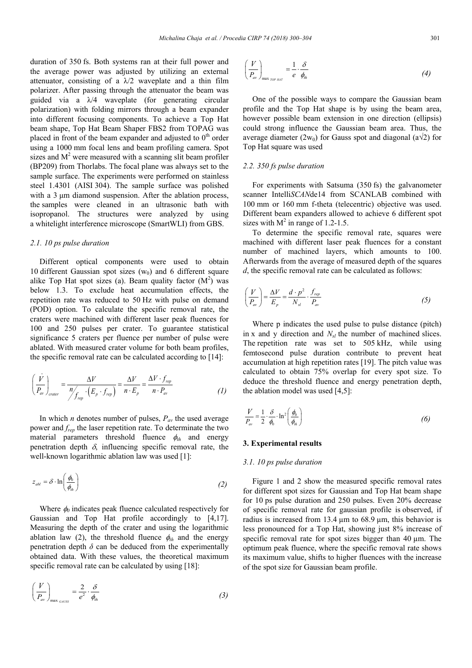duration of 350 fs. Both systems ran at their full power and the average power was adjusted by utilizing an external attenuator, consisting of a  $\lambda/2$  waveplate and a thin film polarizer. After passing through the attenuator the beam was guided via a  $\lambda/4$  waveplate (for generating circular polarization) with folding mirrors through a beam expander into different focusing components. To achieve a Top Hat beam shape, Top Hat Beam Shaper FBS2 from TOPAG was placed in front of the beam expander and adjusted to  $0<sup>th</sup>$  order using a 1000 mm focal lens and beam profiling camera. Spot sizes and  $M<sup>2</sup>$  were measured with a scanning slit beam profiler (BP209) from Thorlabs. The focal plane was always set to the sample surface. The experiments were performed on stainless steel 1.4301 (AISI 304). The sample surface was polished with a 3 μm diamond suspension. After the ablation process, the samples were cleaned in an ultrasonic bath with isopropanol. The structures were analyzed by using a whitelight interference microscope (SmartWLI) from GBS. ration of 350 is. Both systems ran at their tul power and their tule power as adjusted by utilizing an external  $\left\{\frac{V}{P_a}\right\}$  exerage power was adjusted by utilizing an external enuator, consisting of a  $\lambda/2$  waveplat

#### *2.1. 10 ps pulse duration*

Different optical components were used to obtain 10 different Gaussian spot sizes  $(w_0)$  and 6 different square alike Top Hat spot sizes (a). Beam quality factor  $(M<sup>2</sup>)$  was below 1.3. To exclude heat accumulation effects, the repetition rate was reduced to 50 Hz with pulse on demand (POD) option. To calculate the specific removal rate, the craters were machined with different laser peak fluences for 100 and 250 pulses per crater. To guarantee statistical significance 5 craters per fluence per number of pulse were ablated. With measured crater volume for both beam profiles, the specific removal rate can be calculated according to [14]:

$$
\left(\frac{\dot{V}}{P_{av}}\right)_{\text{crater}} = \frac{\Delta V}{N f_{\text{rep}} \cdot (E_p \cdot f_{\text{rep}})} = \frac{\Delta V}{n \cdot E_p} = \frac{\Delta V \cdot f_{\text{rep}}}{n \cdot P_{av}} \tag{1}
$$

In which *n* denotes number of pulses,  $P_{av}$  the used average power and *frep* the laser repetition rate. To determinate the two material parameters threshold fluence  $\phi_{th}$  and energy penetration depth  $\delta$ , influencing specific removal rate, the well-known logarithmic ablation law was used [1]:

$$
z_{abl} = \delta \cdot \ln\left(\frac{\phi_0}{\phi_{lh}}\right) \tag{2}
$$

Where  $\phi_0$  indicates peak fluence calculated respectively for Gaussian and Top Hat profile accordingly to [4,17]. Measuring the depth of the crater and using the logarithmic ablation law (2), the threshold fluence  $\phi_{th}$  and the energy penetration depth  $\delta$  can be deduced from the experimentally obtained data. With these values, the theoretical maximum specific removal rate can be calculated by using [18]:

$$
\left(\frac{V}{P_{av}}\right)_{\text{max}_{\Omega A \cup S\}} = \frac{2}{e^2} \cdot \frac{\delta}{\phi_{th}} \tag{3}
$$

$$
\left(\frac{V}{P_{av}}\right)_{\max_{TOP\;HAT}} = \frac{1}{e} \cdot \frac{\delta}{\phi_{ih}} \tag{4}
$$

One of the possible ways to compare the Gaussian beam profile and the Top Hat shape is by using the beam area, however possible beam extension in one direction (ellipsis) could strong influence the Gaussian beam area. Thus, the average diameter (2w<sub>0</sub>) for Gauss spot and diagonal (a $\sqrt{2}$ ) for Top Hat square was used

#### *2.2. 350 fs pulse duration*

For experiments with Satsuma (350 fs) the galvanometer scanner Intelli*SCAN*de14 from SCANLAB combined with 100 mm or 160 mm f-theta (telecentric) objective was used. Different beam expanders allowed to achieve 6 different spot sizes with  $M^2$  in range of 1.2-1.5.

To determine the specific removal rate, squares were machined with different laser peak fluences for a constant number of machined layers, which amounts to 100. Afterwards from the average of measured depth of the squares *d*, the specific removal rate can be calculated as follows:

$$
\left(\frac{V}{P_{av}}\right) = \frac{\Delta V}{E_p} = \frac{d \cdot p^2}{N_{sl}} \cdot \frac{f_{rep}}{P_{av}}
$$
\n(5)

Where p indicates the used pulse to pulse distance (pitch) in x and y direction and  $N_{sl}$  the number of machined slices. The repetition rate was set to 505 kHz, while using femtosecond pulse duration contribute to prevent heat accumulation at high repetition rates [19]. The pitch value was calculated to obtain 75% overlap for every spot size. To deduce the threshold fluence and energy penetration depth, the ablation model was used [4,5]:  $\begin{array}{c} V \overline{P_a} \\ \hline \overline{P_a} \end{array}$  T x he em counter of  $V$ 

$$
\frac{V}{P_{av}} = \frac{1}{2} \cdot \frac{\delta}{\phi_0} \cdot \ln^2 \left(\frac{\phi_0}{\phi_{th}}\right)
$$
 (6)

#### **3. Experimental results**

## *3.1. 10 ps pulse duration*

Figure 1 and 2 show the measured specific removal rates for different spot sizes for Gaussian and Top Hat beam shape for 10 ps pulse duration and 250 pulses. Even 20% decrease of specific removal rate for gaussian profile is observed, if radius is increased from 13.4  $\mu$ m to 68.9  $\mu$ m, this behavior is less pronounced for a Top Hat, showing just 8% increase of specific removal rate for spot sizes bigger than 40  $\mu$ m. The optimum peak fluence, where the specific removal rate shows its maximum value, shifts to higher fluences with the increase of the spot size for Gaussian beam profile.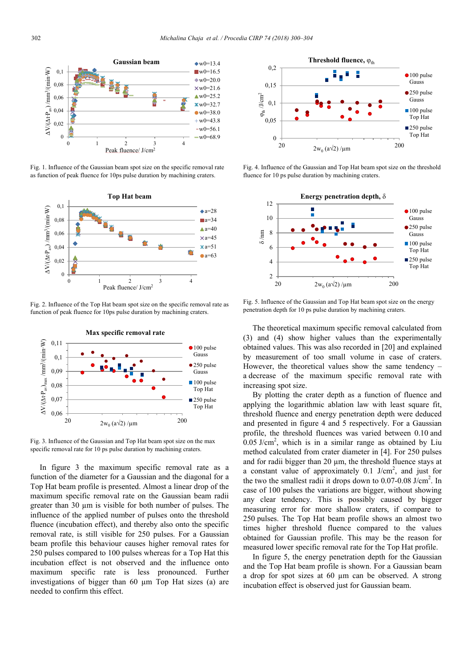

Fig. 1. Influence of the Gaussian beam spot size on the specific removal rate as function of peak fluence for 10ps pulse duration by machining craters.



Fig. 2. Influence of the Top Hat beam spot size on the specific removal rate as function of peak fluence for 10ps pulse duration by machining craters.



Fig. 3. Influence of the Gaussian and Top Hat beam spot size on the max specific removal rate for 10 ps pulse duration by machining craters.

In figure 3 the maximum specific removal rate as a function of the diameter for a Gaussian and the diagonal for a Top Hat beam profile is presented. Almost a linear drop of the maximum specific removal rate on the Gaussian beam radii greater than 30 µm is visible for both number of pulses. The influence of the applied number of pulses onto the threshold fluence (incubation effect), and thereby also onto the specific removal rate, is still visible for 250 pulses. For a Gaussian beam profile this behaviour causes higher removal rates for 250 pulses compared to 100 pulses whereas for a Top Hat this incubation effect is not observed and the influence onto maximum specific rate is less pronounced. Further investigations of bigger than 60 µm Top Hat sizes (a) are needed to confirm this effect.



Fig. 4. Influence of the Gaussian and Top Hat beam spot size on the threshold fluence for 10 ps pulse duration by machining craters.



Fig. 5. Influence of the Gaussian and Top Hat beam spot size on the energy penetration depth for 10 ps pulse duration by machining craters.

The theoretical maximum specific removal calculated from (3) and (4) show higher values than the experimentally obtained values. This was also recorded in [20] and explained by measurement of too small volume in case of craters. However, the theoretical values show the same tendency – a decrease of the maximum specific removal rate with increasing spot size.

By plotting the crater depth as a function of fluence and applying the logarithmic ablation law with least square fit. threshold fluence and energy penetration depth were deduced and presented in figure 4 and 5 respectively. For a Gaussian profile, the threshold fluences was varied between 0.10 and  $0.05$  J/cm<sup>2</sup>, which is in a similar range as obtained by Liu method calculated from crater diameter in [4]. For 250 pulses and for radii bigger than 20  $\mu$ m, the threshold fluence stays at a constant value of approximately  $0.1$  J/cm<sup>2</sup>, and just for the two the smallest radii it drops down to  $0.07$ - $0.08$  J/cm<sup>2</sup>. In case of 100 pulses the variations are bigger, without showing any clear tendency. This is possibly caused by bigger measuring error for more shallow craters, if compare to 250 pulses. The Top Hat beam profile shows an almost two times higher threshold fluence compared to the values obtained for Gaussian profile. This may be the reason for measured lower specific removal rate for the Top Hat profile.

In figure 5, the energy penetration depth for the Gaussian and the Top Hat beam profile is shown. For a Gaussian beam a drop for spot sizes at 60 µm can be observed. A strong incubation effect is observed just for Gaussian beam.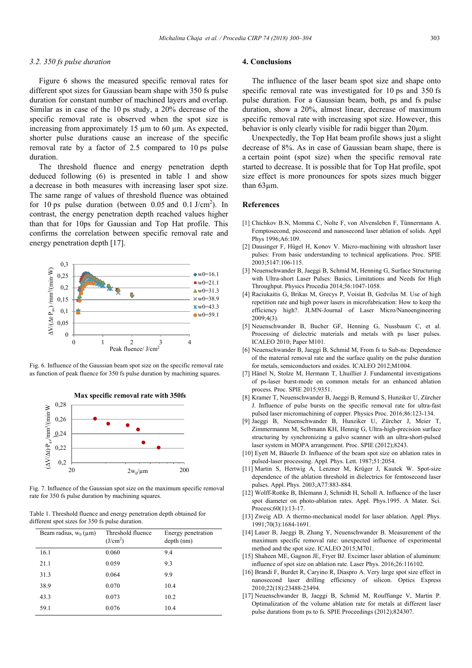#### *3.2. 350 fs pulse duration*

Figure 6 shows the measured specific removal rates for different spot sizes for Gaussian beam shape with 350 fs pulse duration for constant number of machined layers and overlap. Similar as in case of the 10 ps study, a 20% decrease of the specific removal rate is observed when the spot size is increasing from approximately 15  $\mu$ m to 60  $\mu$ m. As expected, shorter pulse durations cause an increase of the specific removal rate by a factor of 2.5 compared to 10 ps pulse duration.

The threshold fluence and energy penetration depth deduced following (6) is presented in table 1 and show a decrease in both measures with increasing laser spot size. The same range of values of threshold fluence was obtained for 10 ps pulse duration (between 0.05 and 0.1 J/cm<sup>2</sup>). In contrast, the energy penetration depth reached values higher than that for 10ps for Gaussian and Top Hat profile. This confirms the correlation between specific removal rate and energy penetration depth [17].



Fig. 6. Influence of the Gaussian beam spot size on the specific removal rate as function of peak fluence for 350 fs pulse duration by machining squares.



Fig. 7. Influence of the Gaussian spot size on the maximum specific removal rate for 350 fs pulse duration by machining squares.

Table 1. Threshold fluence and energy penetration depth obtained for different spot sizes for 350 fs pulse duration.

| Beam radius, $w_0(\mu m)$ | Threshold fluence<br>(J/cm <sup>2</sup> ) | Energy penetration<br>$depth$ (nm) |
|---------------------------|-------------------------------------------|------------------------------------|
| 16.1                      | 0.060                                     | 9.4                                |
| 21.1                      | 0.059                                     | 9.3                                |
| 31.3                      | 0.064                                     | 9.9                                |
| 38.9                      | 0.070                                     | 10.4                               |
| 43.3                      | 0.073                                     | 10.2                               |
| 59.1                      | 0.076                                     | 10.4                               |

#### **4. Conclusions**

The influence of the laser beam spot size and shape onto specific removal rate was investigated for 10 ps and 350 fs pulse duration. For a Gaussian beam, both, ps and fs pulse duration, show a 20%, almost linear, decrease of maximum specific removal rate with increasing spot size. However, this behavior is only clearly visible for radii bigger than 20µm.

Unexpectedly, the Top Hat beam profile shows just a slight decrease of 8%. As in case of Gaussian beam shape, there is a certain point (spot size) when the specific removal rate started to decrease. It is possible that for Top Hat profile, spot size effect is more pronounces for spots sizes much bigger than 63µm.

### **References**

- [1] Chichkov B.N, Momma C, Nolte F, von Alvensleben F, Tünnermann A. Femptosecond, picosecond and nanosecond laser ablation of solids. Appl Phys 1996;A6:109.
- [2] Dausinger F, Hügel H, Konov V. Micro-machining with ultrashort laser pulses: From basic understanding to technical applications. Proc. SPIE 2003;5147:106-115.
- [3] Neuenschwander B, Jaeggi B, Schmid M, Henning G, Surface Structuring with Ultra-short Laser Pulses: Basics, Limitations and Needs for High Throughput. Physics Procedia 2014;56:1047-1058.
- [4] Raciukaitis G, Brikas M, Grecys P, Voisiat B, Gedvilas M. Use of high repetition rate and high power lasers in microfabrication: How to keep the efficiency high?. JLMN-Journal of Laser Micro/Nanoengineering 2009;4(3).
- [5] Neuenschwander B, Bucher GF, Henning G, Nussbaum C, et al. Processing of dielectric materials and metals with ps laser pulses. ICALEO 2010; Paper M101.
- [6] Neuenschwander B, Jaeggi B, Schmid M, From fs to Sub-ns: Dependence of the material removal rate and the surface quality on the pulse duration for metals, semiconductors and oxides. ICALEO 2012;M1004.
- [7] Hänel N, Stolze M, Hermann T, Lhuillier J. Fundamental investigations of ps-laser burst-mode on common metals for an enhanced ablation process. Proc. SPIE 2015;9351.
- [8] Kramer T, Neuenschwander B, Jaeggi B, Remund S, Hunziker U, Zürcher J. Influence of pulse bursts on the specific removal rate for ultra-fast pulsed laser micromachining of copper. Physics Proc. 2016;86:123-134.
- [9] Jaeggi B, Neuenschwander B, Hunziker U, Zürcher J, Meier T, Zimmermannn M, Selbmann KH, Hennig G, Ultra-high-precision surface structuring by synchronizing a galvo scanner with an ultra-short-pulsed laser system in MOPA arrangement. Proc. SPIE (2012);8243.
- [10] Eyett M, Bäuerle D. Influence of the beam spot size on ablation rates in pulsed-laser processing. Appl. Phys. Lett. 1987;51:2054.
- [11] Martin S, Hertwig A, Lenzner M, Krüger J, Kautek W. Spot-size dependence of the ablation threshold in dielectrics for femtosecond laser pulses. Appl. Phys. 2003;A77:883-884.
- [12] Wolff-Rottke B, Ihlemann J, Schmidt H, Scholl A. Influence of the laser spot diameter on photo-ablation rates. Appl. Phys.1995. A Mater. Sci. Process;60(1):13-17.
- [13] Zweig AD. A thermo-mechanical model for laser ablation. Appl. Phys. 1991;70(3):1684-1691.
- [14] Lauer B, Jaeggi B, Zhang Y, Neuenschwander B. Measurement of the maximum specific removal rate: unexpected influence of experimental method and the spot size. ICALEO 2015;M701.
- [15] Shaheen ME, Gagnon JE, Fryer BJ. Excimer laser ablation of aluminum: influence of spot size on ablation rate. Laser Phys. 2016;26:116102.
- [16] Brandi F, Burdet R, Caryino R, Diaspro A. Very large spot size effect in nanosecond laser drilling efficiency of silicon. Optics Express 2010;22(18):23488-23494.
- [17] Neuenschwander B, Jaeggi B, Schmid M, Rouffiange V, Martin P. Optimalization of the volume ablation rate for metals at different laser pulse durations from ps to fs. SPIE Proceedings (2012);824307.